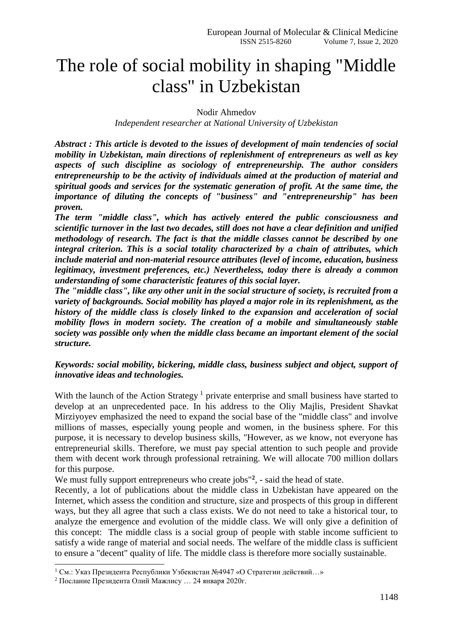# The role of social mobility in shaping "Middle class" in Uzbekistan

Nodir Ahmedov

*Independent researcher at National University of Uzbekistan*

*Abstract : This article is devoted to the issues of development of main tendencies of social mobility in Uzbekistan, main directions of replenishment of entrepreneurs as well as key aspects of such discipline as sociology of entrepreneurship. The author considers entrepreneurship to be the activity of individuals aimed at the production of material and spiritual goods and services for the systematic generation of profit. At the same time, the importance of diluting the concepts of "business" and "entrepreneurship" has been proven.*

*The term "middle class", which has actively entered the public consciousness and scientific turnover in the last two decades, still does not have a clear definition and unified methodology of research. The fact is that the middle classes cannot be described by one integral criterion. This is a social totality characterized by a chain of attributes, which include material and non-material resource attributes (level of income, education, business legitimacy, investment preferences, etc.) Nevertheless, today there is already a common understanding of some characteristic features of this social layer.*

*The "middle class", like any other unit in the social structure of society, is recruited from a variety of backgrounds. Social mobility has played a major role in its replenishment, as the history of the middle class is closely linked to the expansion and acceleration of social mobility flows in modern society. The creation of a mobile and simultaneously stable society was possible only when the middle class became an important element of the social structure.* 

## *Keywords: social mobility, bickering, middle class, business subject and object, support of innovative ideas and technologies.*

With the launch of the Action Strategy<sup>1</sup> private enterprise and small business have started to develop at an unprecedented pace. In his address to the Oliy Majlis, President Shavkat Mirziyoyev emphasized the need to expand the social base of the "middle class" and involve millions of masses, especially young people and women, in the business sphere. For this purpose, it is necessary to develop business skills, "However, as we know, not everyone has entrepreneurial skills. Therefore, we must pay special attention to such people and provide them with decent work through professional retraining. We will allocate 700 million dollars for this purpose.

We must fully support entrepreneurs who create jobs<sup>"2</sup>, - said the head of state.

Recently, a lot of publications about the middle class in Uzbekistan have appeared on the Internet, which assess the condition and structure, size and prospects of this group in different ways, but they all agree that such a class exists. We do not need to take a historical tour, to analyze the emergence and evolution of the middle class. We will only give a definition of this concept: The middle class is a social group of people with stable income sufficient to satisfy a wide range of material and social needs. The welfare of the middle class is sufficient to ensure a "decent" quality of life. The middle class is therefore more socially sustainable.

-

 $1 \text{ Cm}$ .: Указ Презилента Республики Узбекистан №4947 «О Стратегии действий…»

<sup>2</sup> Послание Президента Олий Мажлису … 24 января 2020г.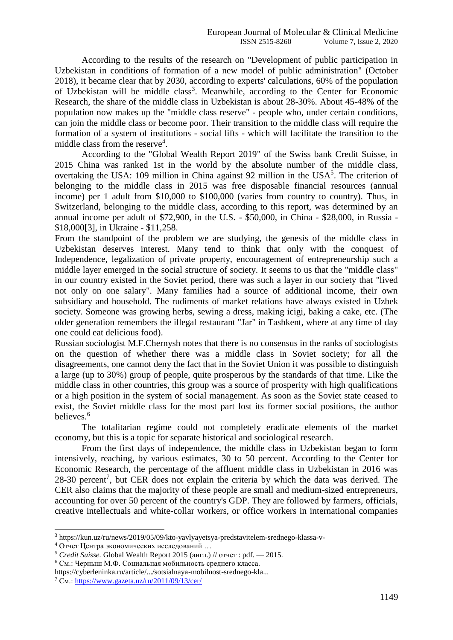According to the results of the research on "Development of public participation in Uzbekistan in conditions of formation of a new model of public administration" (October 2018), it became clear that by 2030, according to experts' calculations, 60% of the population of Uzbekistan will be middle class<sup>3</sup>. Meanwhile, according to the Center for Economic Research, the share of the middle class in Uzbekistan is about 28-30%. About 45-48% of the population now makes up the "middle class reserve" - people who, under certain conditions, can join the middle class or become poor. Their transition to the middle class will require the formation of a system of institutions - social lifts - which will facilitate the transition to the middle class from the reserve<sup>4</sup>.

According to the "Global Wealth Report 2019" of the Swiss bank Credit Suisse, in 2015 China was ranked 1st in the world by the absolute number of the middle class, overtaking the USA: 109 million in China against 92 million in the USA<sup>5</sup>. The criterion of belonging to the middle class in 2015 was free disposable financial resources (annual income) per 1 adult from \$10,000 to \$100,000 (varies from country to country). Thus, in Switzerland, belonging to the middle class, according to this report, was determined by an annual income per adult of \$72,900, in the U.S. - \$50,000, in China - \$28,000, in Russia - \$18,000[3], in Ukraine - \$11,258.

From the standpoint of the problem we are studying, the genesis of the middle class in Uzbekistan deserves interest. Many tend to think that only with the conquest of Independence, legalization of private property, encouragement of entrepreneurship such a middle layer emerged in the social structure of society. It seems to us that the "middle class" in our country existed in the Soviet period, there was such a layer in our society that "lived not only on one salary". Many families had a source of additional income, their own subsidiary and household. The rudiments of market relations have always existed in Uzbek society. Someone was growing herbs, sewing a dress, making icigi, baking a cake, etc. (The older generation remembers the illegal restaurant "Jar" in Tashkent, where at any time of day one could eat delicious food).

Russian sociologist M.F.Chernysh notes that there is no consensus in the ranks of sociologists on the question of whether there was a middle class in Soviet society; for all the disagreements, one cannot deny the fact that in the Soviet Union it was possible to distinguish a large (up to 30%) group of people, quite prosperous by the standards of that time. Like the middle class in other countries, this group was a source of prosperity with high qualifications or a high position in the system of social management. As soon as the Soviet state ceased to exist, the Soviet middle class for the most part lost its former social positions, the author believes.<sup>6</sup>

The totalitarian regime could not completely eradicate elements of the market economy, but this is a topic for separate historical and sociological research.

From the first days of independence, the middle class in Uzbekistan began to form intensively, reaching, by various estimates, 30 to 50 percent. According to the Center for Economic Research, the percentage of the affluent middle class in Uzbekistan in 2016 was  $28-30$  percent<sup>7</sup>, but CER does not explain the criteria by which the data was derived. The CER also claims that the majority of these people are small and medium-sized entrepreneurs, accounting for over 50 percent of the country's GDP. They are followed by farmers, officials, creative intellectuals and white-collar workers, or office workers in international companies

1

<sup>3</sup> https://kun.uz/ru/news/2019/05/09/kto-yavlyayetsya-predstavitelem-srednego-klassa-v-

<sup>4</sup> Отчет Центра экономических исследований …

<sup>5</sup> *Credit Suisse.* Global [Wealth](https://publications.credit-suisse.com/tasks/render/file/?fileID=F2425415-DCA7-80B8-EAD989AF9341D47E) Report 2015 (англ.) // отчет : pdf. — 2015.

<sup>6</sup> См.: Черныш М.Ф. Социальная мобильность среднего класса.

https://cyberleninka.ru/article/.../sotsialnaya-mobilnost-srednego-kla...

 $7$  C<sub>M</sub>.[: https://www.gazeta.uz/ru/2011/09/13/cer/](https://www.gazeta.uz/ru/2011/09/13/cer/)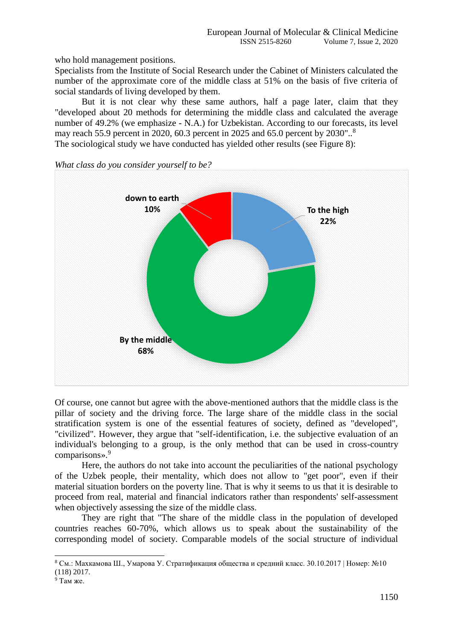who hold management positions.

Specialists from the Institute of Social Research under the Cabinet of Ministers calculated the number of the approximate core of the middle class at 51% on the basis of five criteria of social standards of living developed by them.

But it is not clear why these same authors, half a page later, claim that they "developed about 20 methods for determining the middle class and calculated the average number of 49.2% (we emphasize - N.A.) for Uzbekistan. According to our forecasts, its level may reach 55.9 percent in 2020, 60.3 percent in 2025 and 65.0 percent by 2030"..<sup>8</sup> The sociological study we have conducted has yielded other results (see Figure 8):



*What class do you consider yourself to be?*

Of course, one cannot but agree with the above-mentioned authors that the middle class is the pillar of society and the driving force. The large share of the middle class in the social stratification system is one of the essential features of society, defined as "developed", "civilized". However, they argue that "self-identification, i.e. the subjective evaluation of an individual's belonging to a group, is the only method that can be used in cross-country comparisons».<sup>9</sup>

Here, the authors do not take into account the peculiarities of the national psychology of the Uzbek people, their mentality, which does not allow to "get poor", even if their material situation borders on the poverty line. That is why it seems to us that it is desirable to proceed from real, material and financial indicators rather than respondents' self-assessment when objectively assessing the size of the middle class.

They are right that "The share of the middle class in the population of developed countries reaches 60-70%, which allows us to speak about the sustainability of the corresponding model of society. Comparable models of the social structure of individual

 $8$  См.: Махкамова Ш., Умарова У. Стратификация общества и средний класс. 30.10.2017 | Номер: №10 (118) 2017.

 $9$  Там же.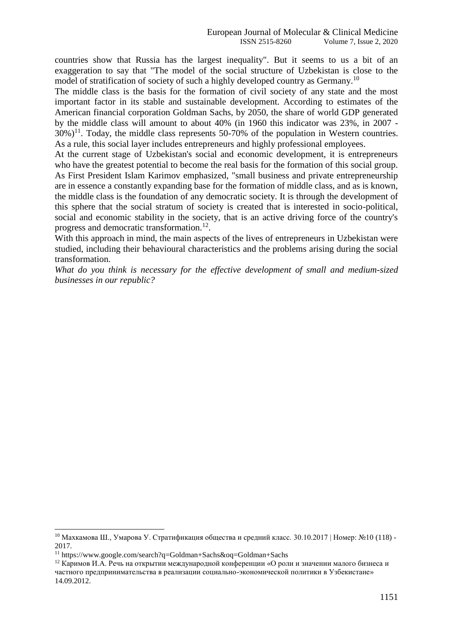countries show that Russia has the largest inequality". But it seems to us a bit of an exaggeration to say that "The model of the social structure of Uzbekistan is close to the model of stratification of society of such a highly developed country as Germany.<sup>10</sup>

The middle class is the basis for the formation of civil society of any state and the most important factor in its stable and sustainable development. According to estimates of the American financial corporation Goldman Sachs, by 2050, the share of world GDP generated by the middle class will amount to about 40% (in 1960 this indicator was 23%, in 2007 -  $30\%$ <sup>11</sup>. Today, the middle class represents 50-70% of the population in Western countries. As a rule, this social layer includes entrepreneurs and highly professional employees.

At the current stage of Uzbekistan's social and economic development, it is entrepreneurs who have the greatest potential to become the real basis for the formation of this social group. As First President Islam Karimov emphasized, "small business and private entrepreneurship are in essence a constantly expanding base for the formation of middle class, and as is known, the middle class is the foundation of any democratic society. It is through the development of this sphere that the social stratum of society is created that is interested in socio-political, social and economic stability in the society, that is an active driving force of the country's progress and democratic transformation.<sup>12</sup>.

With this approach in mind, the main aspects of the lives of entrepreneurs in Uzbekistan were studied, including their behavioural characteristics and the problems arising during the social transformation.

*What do you think is necessary for the effective development of small and medium-sized businesses in our republic?* 

1

 $10$  Махкамова Ш., Умарова У. Стратификация общества и средний класс. 30.10.2017 | Номер: №10 (118) -2017.

<sup>11</sup> https://www.google.com/search?q=Goldman+Sachs&oq=Goldman+Sachs

 $12$  Каримов И.А. Речь на открытии международной конференции «О роли и значении малого бизнеса и частного предпринимательства в реализации социально-экономической политики в Узбекистане» 14.09.2012.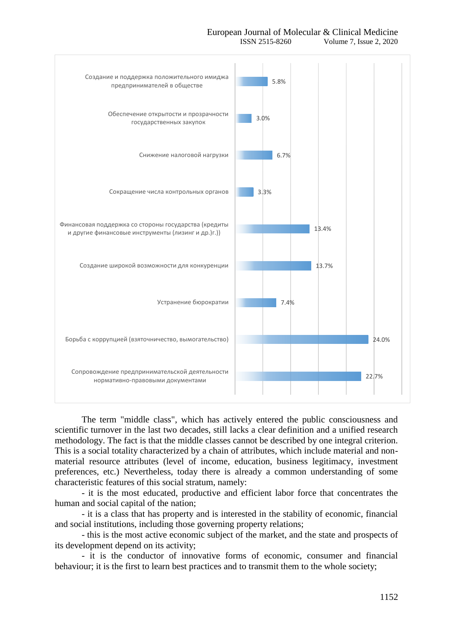#### European Journal of Molecular & Clinical Medicine ISSN 2515-8260 Volume 7, Issue 2, 2020





The term "middle class", which has actively entered the public consciousness and scientific turnover in the last two decades, still lacks a clear definition and a unified research methodology. The fact is that the middle classes cannot be described by one integral criterion. This is a social totality characterized by a chain of attributes, which include material and nonmaterial resource attributes (level of income, education, business legitimacy, investment preferences, etc.) Nevertheless, today there is already a common understanding of some characteristic features of this social stratum, namely:

- it is the most educated, productive and efficient labor force that concentrates the human and social capital of the nation;

- it is a class that has property and is interested in the stability of economic, financial and social institutions, including those governing property relations;

- this is the most active economic subject of the market, and the state and prospects of its development depend on its activity;

- it is the conductor of innovative forms of economic, consumer and financial behaviour; it is the first to learn best practices and to transmit them to the whole society;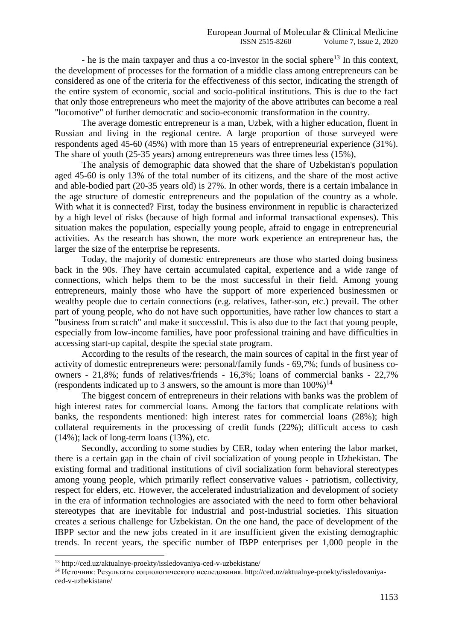- he is the main taxpayer and thus a co-investor in the social sphere<sup>13</sup> In this context, the development of processes for the formation of a middle class among entrepreneurs can be considered as one of the criteria for the effectiveness of this sector, indicating the strength of the entire system of economic, social and socio-political institutions. This is due to the fact that only those entrepreneurs who meet the majority of the above attributes can become a real "locomotive" of further democratic and socio-economic transformation in the country.

The average domestic entrepreneur is a man, Uzbek, with a higher education, fluent in Russian and living in the regional centre. A large proportion of those surveyed were respondents aged 45-60 (45%) with more than 15 years of entrepreneurial experience (31%). The share of youth (25-35 years) among entrepreneurs was three times less (15%),

The analysis of demographic data showed that the share of Uzbekistan's population aged 45-60 is only 13% of the total number of its citizens, and the share of the most active and able-bodied part (20-35 years old) is 27%. In other words, there is a certain imbalance in the age structure of domestic entrepreneurs and the population of the country as a whole. With what it is connected? First, today the business environment in republic is characterized by a high level of risks (because of high formal and informal transactional expenses). This situation makes the population, especially young people, afraid to engage in entrepreneurial activities. As the research has shown, the more work experience an entrepreneur has, the larger the size of the enterprise he represents.

Today, the majority of domestic entrepreneurs are those who started doing business back in the 90s. They have certain accumulated capital, experience and a wide range of connections, which helps them to be the most successful in their field. Among young entrepreneurs, mainly those who have the support of more experienced businessmen or wealthy people due to certain connections (e.g. relatives, father-son, etc.) prevail. The other part of young people, who do not have such opportunities, have rather low chances to start a "business from scratch" and make it successful. This is also due to the fact that young people, especially from low-income families, have poor professional training and have difficulties in accessing start-up capital, despite the special state program.

According to the results of the research, the main sources of capital in the first year of activity of domestic entrepreneurs were: personal/family funds - 69,7%; funds of business coowners - 21,8%; funds of relatives/friends - 16,3%; loans of commercial banks - 22,7% (respondents indicated up to 3 answers, so the amount is more than  $100\%$ )<sup>14</sup>

The biggest concern of entrepreneurs in their relations with banks was the problem of high interest rates for commercial loans. Among the factors that complicate relations with banks, the respondents mentioned: high interest rates for commercial loans (28%); high collateral requirements in the processing of credit funds (22%); difficult access to cash  $(14\%)$ ; lack of long-term loans  $(13\%)$ , etc.

Secondly, according to some studies by CER, today when entering the labor market, there is a certain gap in the chain of civil socialization of young people in Uzbekistan. The existing formal and traditional institutions of civil socialization form behavioral stereotypes among young people, which primarily reflect conservative values - patriotism, collectivity, respect for elders, etc. However, the accelerated industrialization and development of society in the era of information technologies are associated with the need to form other behavioral stereotypes that are inevitable for industrial and post-industrial societies. This situation creates a serious challenge for Uzbekistan. On the one hand, the pace of development of the IBPP sector and the new jobs created in it are insufficient given the existing demographic trends. In recent years, the specific number of IBPP enterprises per 1,000 people in the

<sup>13</sup> http://ced.uz/aktualnye-proekty/issledovaniya-ced-v-uzbekistane/

<sup>14</sup> Источник: Результаты социологического исследования. http://ced.uz/aktualnye-proekty/issledovaniyaced-v-uzbekistane/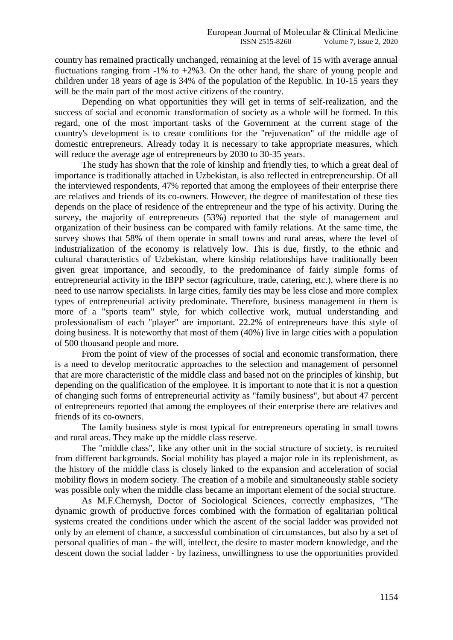country has remained practically unchanged, remaining at the level of 15 with average annual fluctuations ranging from  $-1\%$  to  $+2\%3$ . On the other hand, the share of young people and children under 18 years of age is 34% of the population of the Republic. In 10-15 years they will be the main part of the most active citizens of the country.

Depending on what opportunities they will get in terms of self-realization, and the success of social and economic transformation of society as a whole will be formed. In this regard, one of the most important tasks of the Government at the current stage of the country's development is to create conditions for the "rejuvenation" of the middle age of domestic entrepreneurs. Already today it is necessary to take appropriate measures, which will reduce the average age of entrepreneurs by 2030 to 30-35 years.

The study has shown that the role of kinship and friendly ties, to which a great deal of importance is traditionally attached in Uzbekistan, is also reflected in entrepreneurship. Of all the interviewed respondents, 47% reported that among the employees of their enterprise there are relatives and friends of its co-owners. However, the degree of manifestation of these ties depends on the place of residence of the entrepreneur and the type of his activity. During the survey, the majority of entrepreneurs (53%) reported that the style of management and organization of their business can be compared with family relations. At the same time, the survey shows that 58% of them operate in small towns and rural areas, where the level of industrialization of the economy is relatively low. This is due, firstly, to the ethnic and cultural characteristics of Uzbekistan, where kinship relationships have traditionally been given great importance, and secondly, to the predominance of fairly simple forms of entrepreneurial activity in the IBPP sector (agriculture, trade, catering, etc.), where there is no need to use narrow specialists. In large cities, family ties may be less close and more complex types of entrepreneurial activity predominate. Therefore, business management in them is more of a "sports team" style, for which collective work, mutual understanding and professionalism of each "player" are important. 22.2% of entrepreneurs have this style of doing business. It is noteworthy that most of them (40%) live in large cities with a population of 500 thousand people and more.

From the point of view of the processes of social and economic transformation, there is a need to develop meritocratic approaches to the selection and management of personnel that are more characteristic of the middle class and based not on the principles of kinship, but depending on the qualification of the employee. It is important to note that it is not a question of changing such forms of entrepreneurial activity as "family business", but about 47 percent of entrepreneurs reported that among the employees of their enterprise there are relatives and friends of its co-owners.

The family business style is most typical for entrepreneurs operating in small towns and rural areas. They make up the middle class reserve.

The "middle class", like any other unit in the social structure of society, is recruited from different backgrounds. Social mobility has played a major role in its replenishment, as the history of the middle class is closely linked to the expansion and acceleration of social mobility flows in modern society. The creation of a mobile and simultaneously stable society was possible only when the middle class became an important element of the social structure.

As M.F.Chernysh, Doctor of Sociological Sciences, correctly emphasizes, "The dynamic growth of productive forces combined with the formation of egalitarian political systems created the conditions under which the ascent of the social ladder was provided not only by an element of chance, a successful combination of circumstances, but also by a set of personal qualities of man - the will, intellect, the desire to master modern knowledge, and the descent down the social ladder - by laziness, unwillingness to use the opportunities provided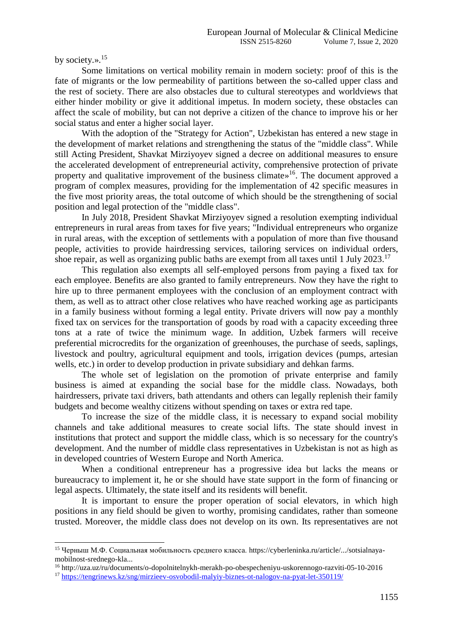by society.».<sup>15</sup>

1

Some limitations on vertical mobility remain in modern society: proof of this is the fate of migrants or the low permeability of partitions between the so-called upper class and the rest of society. There are also obstacles due to cultural stereotypes and worldviews that either hinder mobility or give it additional impetus. In modern society, these obstacles can affect the scale of mobility, but can not deprive a citizen of the chance to improve his or her social status and enter a higher social layer.

With the adoption of the "Strategy for Action", Uzbekistan has entered a new stage in the development of market relations and strengthening the status of the "middle class". While still Acting President, Shavkat Mirziyoyev signed a decree on additional measures to ensure the accelerated development of entrepreneurial activity, comprehensive protection of private property and qualitative improvement of the business climate»<sup>16</sup>. The document approved a program of complex measures, providing for the implementation of 42 specific measures in the five most priority areas, the total outcome of which should be the strengthening of social position and legal protection of the "middle class".

In July 2018, President Shavkat Mirziyoyev signed a resolution exempting individual entrepreneurs in rural areas from taxes for five years; "Individual entrepreneurs who organize in rural areas, with the exception of settlements with a population of more than five thousand people, activities to provide hairdressing services, tailoring services on individual orders, shoe repair, as well as organizing public baths are exempt from all taxes until 1 July 2023.<sup>17</sup>

This regulation also exempts all self-employed persons from paying a fixed tax for each employee. Benefits are also granted to family entrepreneurs. Now they have the right to hire up to three permanent employees with the conclusion of an employment contract with them, as well as to attract other close relatives who have reached working age as participants in a family business without forming a legal entity. Private drivers will now pay a monthly fixed tax on services for the transportation of goods by road with a capacity exceeding three tons at a rate of twice the minimum wage. In addition, Uzbek farmers will receive preferential microcredits for the organization of greenhouses, the purchase of seeds, saplings, livestock and poultry, agricultural equipment and tools, irrigation devices (pumps, artesian wells, etc.) in order to develop production in private subsidiary and dehkan farms.

The whole set of legislation on the promotion of private enterprise and family business is aimed at expanding the social base for the middle class. Nowadays, both hairdressers, private taxi drivers, bath attendants and others can legally replenish their family budgets and become wealthy citizens without spending on taxes or extra red tape.

To increase the size of the middle class, it is necessary to expand social mobility channels and take additional measures to create social lifts. The state should invest in institutions that protect and support the middle class, which is so necessary for the country's development. And the number of middle class representatives in Uzbekistan is not as high as in developed countries of Western Europe and North America.

When a conditional entrepreneur has a progressive idea but lacks the means or bureaucracy to implement it, he or she should have state support in the form of financing or legal aspects. Ultimately, the state itself and its residents will benefit.

It is important to ensure the proper operation of social elevators, in which high positions in any field should be given to worthy, promising candidates, rather than someone trusted. Moreover, the middle class does not develop on its own. Its representatives are not

<sup>15</sup> Черныш М.Ф. Социальная мобильность среднего класса. https://cyberleninka.ru/article/.../sotsialnayamobilnost-srednego-kla...

<sup>16</sup> http://uza.uz/ru/documents/o-dopolnitelnykh-merakh-po-obespecheniyu-uskorennogo-razviti-05-10-2016

<sup>17</sup> <https://tengrinews.kz/sng/mirzieev-osvobodil-malyiy-biznes-ot-nalogov-na-pyat-let-350119/>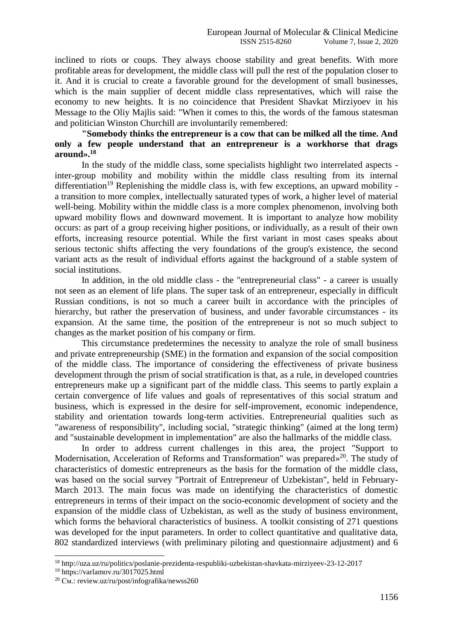inclined to riots or coups. They always choose stability and great benefits. With more profitable areas for development, the middle class will pull the rest of the population closer to it. And it is crucial to create a favorable ground for the development of small businesses, which is the main supplier of decent middle class representatives, which will raise the economy to new heights. It is no coincidence that President Shavkat Mirziyoev in his Message to the Oliy Majlis said: "When it comes to this, the words of the famous statesman and politician Winston Churchill are involuntarily remembered:

## **"Somebody thinks the entrepreneur is a cow that can be milked all the time. And only a few people understand that an entrepreneur is a workhorse that drags around».<sup>18</sup>**

In the study of the middle class, some specialists highlight two interrelated aspects inter-group mobility and mobility within the middle class resulting from its internal differentiation<sup>19</sup> Replenishing the middle class is, with few exceptions, an upward mobility a transition to more complex, intellectually saturated types of work, a higher level of material well-being. Mobility within the middle class is a more complex phenomenon, involving both upward mobility flows and downward movement. It is important to analyze how mobility occurs: as part of a group receiving higher positions, or individually, as a result of their own efforts, increasing resource potential. While the first variant in most cases speaks about serious tectonic shifts affecting the very foundations of the group's existence, the second variant acts as the result of individual efforts against the background of a stable system of social institutions.

In addition, in the old middle class - the "entrepreneurial class" - a career is usually not seen as an element of life plans. The super task of an entrepreneur, especially in difficult Russian conditions, is not so much a career built in accordance with the principles of hierarchy, but rather the preservation of business, and under favorable circumstances - its expansion. At the same time, the position of the entrepreneur is not so much subject to changes as the market position of his company or firm.

This circumstance predetermines the necessity to analyze the role of small business and private entrepreneurship (SME) in the formation and expansion of the social composition of the middle class. The importance of considering the effectiveness of private business development through the prism of social stratification is that, as a rule, in developed countries entrepreneurs make up a significant part of the middle class. This seems to partly explain a certain convergence of life values and goals of representatives of this social stratum and business, which is expressed in the desire for self-improvement, economic independence, stability and orientation towards long-term activities. Entrepreneurial qualities such as "awareness of responsibility", including social, "strategic thinking" (aimed at the long term) and "sustainable development in implementation" are also the hallmarks of the middle class.

In order to address current challenges in this area, the project "Support to Modernisation, Acceleration of Reforms and Transformation" was prepared»<sup>20</sup>. The study of characteristics of domestic entrepreneurs as the basis for the formation of the middle class, was based on the social survey "Portrait of Entrepreneur of Uzbekistan", held in February-March 2013. The main focus was made on identifying the characteristics of domestic entrepreneurs in terms of their impact on the socio-economic development of society and the expansion of the middle class of Uzbekistan, as well as the study of business environment, which forms the behavioral characteristics of business. A toolkit consisting of 271 questions was developed for the input parameters. In order to collect quantitative and qualitative data, 802 standardized interviews (with preliminary piloting and questionnaire adjustment) and 6

<sup>18</sup> http://uza.uz/ru/politics/poslanie-prezidenta-respubliki-uzbekistan-shavkata-mirziyeev-23-12-2017

<sup>19</sup> https://varlamov.ru/3017025.html

<sup>&</sup>lt;sup>20</sup> См.: review.uz/ru/post/infografika/newss260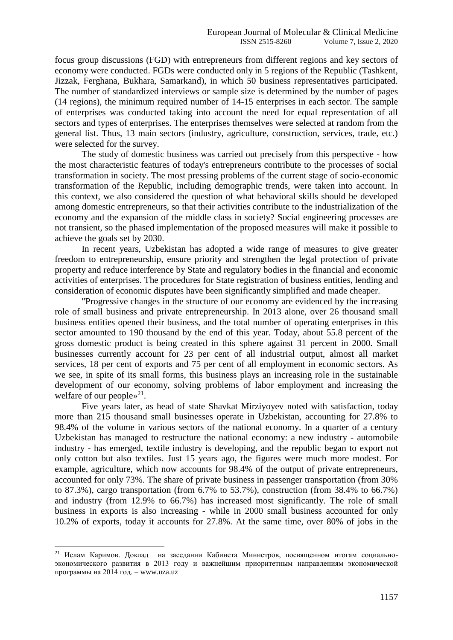focus group discussions (FGD) with entrepreneurs from different regions and key sectors of economy were conducted. FGDs were conducted only in 5 regions of the Republic (Tashkent, Jizzak, Ferghana, Bukhara, Samarkand), in which 50 business representatives participated. The number of standardized interviews or sample size is determined by the number of pages (14 regions), the minimum required number of 14-15 enterprises in each sector. The sample of enterprises was conducted taking into account the need for equal representation of all sectors and types of enterprises. The enterprises themselves were selected at random from the general list. Thus, 13 main sectors (industry, agriculture, construction, services, trade, etc.) were selected for the survey.

The study of domestic business was carried out precisely from this perspective - how the most characteristic features of today's entrepreneurs contribute to the processes of social transformation in society. The most pressing problems of the current stage of socio-economic transformation of the Republic, including demographic trends, were taken into account. In this context, we also considered the question of what behavioral skills should be developed among domestic entrepreneurs, so that their activities contribute to the industrialization of the economy and the expansion of the middle class in society? Social engineering processes are not transient, so the phased implementation of the proposed measures will make it possible to achieve the goals set by 2030.

In recent years, Uzbekistan has adopted a wide range of measures to give greater freedom to entrepreneurship, ensure priority and strengthen the legal protection of private property and reduce interference by State and regulatory bodies in the financial and economic activities of enterprises. The procedures for State registration of business entities, lending and consideration of economic disputes have been significantly simplified and made cheaper.

"Progressive changes in the structure of our economy are evidenced by the increasing role of small business and private entrepreneurship. In 2013 alone, over 26 thousand small business entities opened their business, and the total number of operating enterprises in this sector amounted to 190 thousand by the end of this year. Today, about 55.8 percent of the gross domestic product is being created in this sphere against 31 percent in 2000. Small businesses currently account for 23 per cent of all industrial output, almost all market services, 18 per cent of exports and 75 per cent of all employment in economic sectors. As we see, in spite of its small forms, this business plays an increasing role in the sustainable development of our economy, solving problems of labor employment and increasing the welfare of our people»<sup>21</sup>.

Five years later, as head of state Shavkat Mirziyoyev noted with satisfaction, today more than 215 thousand small businesses operate in Uzbekistan, accounting for 27.8% to 98.4% of the volume in various sectors of the national economy. In a quarter of a century Uzbekistan has managed to restructure the national economy: a new industry - automobile industry - has emerged, textile industry is developing, and the republic began to export not only cotton but also textiles. Just 15 years ago, the figures were much more modest. For example, agriculture, which now accounts for 98.4% of the output of private entrepreneurs, accounted for only 73%. The share of private business in passenger transportation (from 30% to 87.3%), cargo transportation (from 6.7% to 53.7%), construction (from 38.4% to 66.7%) and industry (from 12.9% to 66.7%) has increased most significantly. The role of small business in exports is also increasing - while in 2000 small business accounted for only 10.2% of exports, today it accounts for 27.8%. At the same time, over 80% of jobs in the

-

<sup>&</sup>lt;sup>21</sup> Ислам Каримов. Доклад на заседании Кабинета Министров, посвященном итогам социальноэкономического развития в 2013 году и важнейшим приоритетным направлениям экономической программы на 2014 год. – www.uza.uz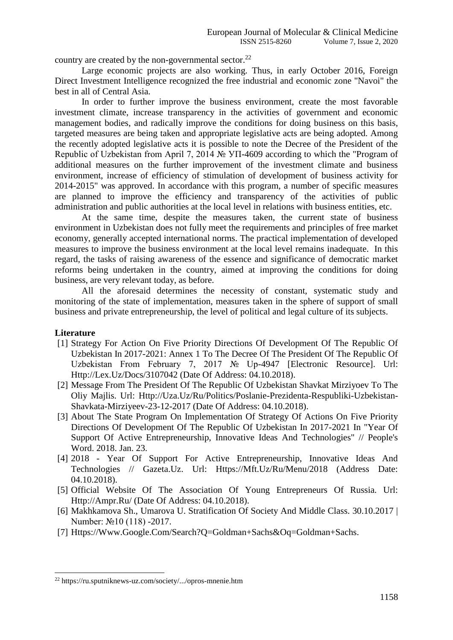country are created by the non-governmental sector.<sup>22</sup>

Large economic projects are also working. Thus, in early October 2016, Foreign Direct Investment Intelligence recognized the free industrial and economic zone "Navoi" the best in all of Central Asia.

In order to further improve the business environment, create the most favorable investment climate, increase transparency in the activities of government and economic management bodies, and radically improve the conditions for doing business on this basis, targeted measures are being taken and appropriate legislative acts are being adopted. Among the recently adopted legislative acts it is possible to note the Decree of the President of the Republic of Uzbekistan from April 7, 2014 № УП-4609 according to which the "Program of additional measures on the further improvement of the investment climate and business environment, increase of efficiency of stimulation of development of business activity for 2014-2015" was approved. In accordance with this program, a number of specific measures are planned to improve the efficiency and transparency of the activities of public administration and public authorities at the local level in relations with business entities, etc.

At the same time, despite the measures taken, the current state of business environment in Uzbekistan does not fully meet the requirements and principles of free market economy, generally accepted international norms. The practical implementation of developed measures to improve the business environment at the local level remains inadequate. In this regard, the tasks of raising awareness of the essence and significance of democratic market reforms being undertaken in the country, aimed at improving the conditions for doing business, are very relevant today, as before.

All the aforesaid determines the necessity of constant, systematic study and monitoring of the state of implementation, measures taken in the sphere of support of small business and private entrepreneurship, the level of political and legal culture of its subjects.

### **Literature**

- [1] Strategy For Action On Five Priority Directions Of Development Of The Republic Of Uzbekistan In 2017-2021: Annex 1 To The Decree Of The President Of The Republic Of Uzbekistan From February 7, 2017 № Up-4947 [Electronic Resource]. Url: Http://Lex.Uz/Docs/3107042 (Date Of Address: 04.10.2018).
- [2] Message From The President Of The Republic Of Uzbekistan Shavkat Mirziyoev To The Oliy Majlis. Url: Http://Uza.Uz/Ru/Politics/Poslanie-Prezidenta-Respubliki-Uzbekistan-Shavkata-Mirziyeev-23-12-2017 (Date Of Address: 04.10.2018).
- [3] About The State Program On Implementation Of Strategy Of Actions On Five Priority Directions Of Development Of The Republic Of Uzbekistan In 2017-2021 In "Year Of Support Of Active Entrepreneurship, Innovative Ideas And Technologies" // People's Word. 2018. Jan. 23.
- [4] 2018 Year Of Support For Active Entrepreneurship, Innovative Ideas And Technologies // Gazeta.Uz. Url: Https://Mft.Uz/Ru/Menu/2018 (Address Date: 04.10.2018).
- [5] Official Website Of The Association Of Young Entrepreneurs Of Russia. Url: Http://Ampr.Ru/ (Date Of Address: 04.10.2018).
- [6] Makhkamova Sh., Umarova U. Stratification Of Society And Middle Class. 30.10.2017 | Number: №10 (118) -2017.
- [7] Https://Www.Google.Com/Search?Q=Goldman+Sachs&Oq=Goldman+Sachs.

<sup>22</sup> https://ru.sputniknews-uz.com/society/.../opros-mnenie.htm